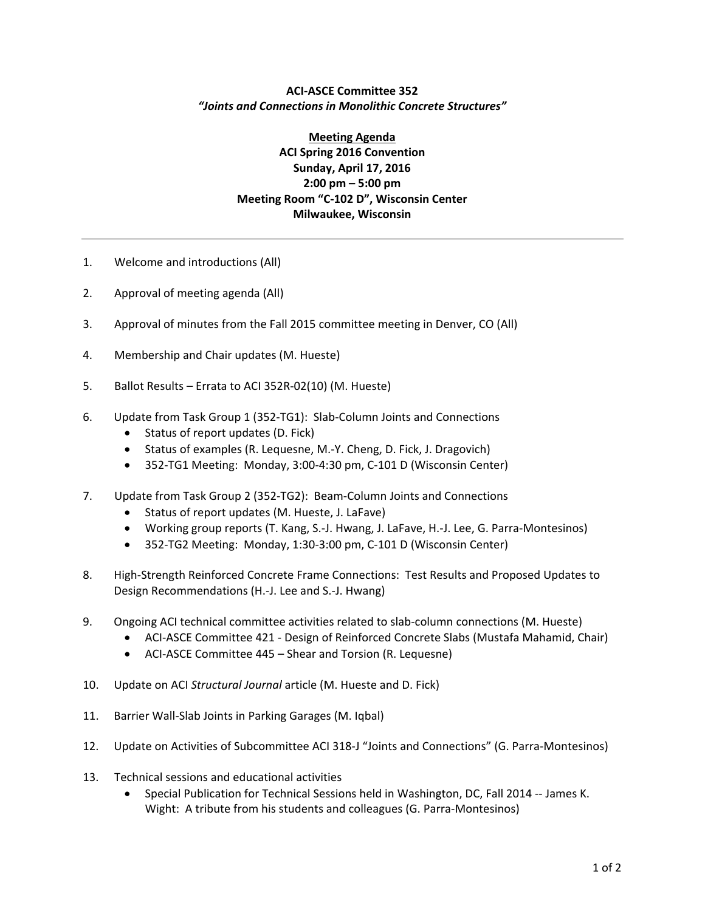## **ACI‐ASCE Committee 352** *"Joints and Connections in Monolithic Concrete Structures"*

**Meeting Agenda ACI Spring 2016 Convention Sunday, April 17, 2016 2:00 pm – 5:00 pm Meeting Room "C‐102 D", Wisconsin Center Milwaukee, Wisconsin**

- 1. Welcome and introductions (All)
- 2. Approval of meeting agenda (All)
- 3. Approval of minutes from the Fall 2015 committee meeting in Denver, CO (All)
- 4. Membership and Chair updates (M. Hueste)
- 5. Ballot Results Errata to ACI 352R‐02(10) (M. Hueste)
- 6. Update from Task Group 1 (352‐TG1): Slab‐Column Joints and Connections
	- $\bullet$  Status of report updates (D. Fick)
	- Status of examples (R. Lequesne, M.-Y. Cheng, D. Fick, J. Dragovich)
	- 352‐TG1 Meeting: Monday, 3:00‐4:30 pm, C‐101 D (Wisconsin Center)
- 7. Update from Task Group 2 (352‐TG2): Beam‐Column Joints and Connections
	- Status of report updates (M. Hueste, J. LaFave)
	- Working group reports (T. Kang, S.-J. Hwang, J. LaFave, H.-J. Lee, G. Parra-Montesinos)
	- 352‐TG2 Meeting: Monday, 1:30‐3:00 pm, C‐101 D (Wisconsin Center)
- 8. High‐Strength Reinforced Concrete Frame Connections: Test Results and Proposed Updates to Design Recommendations (H.‐J. Lee and S.‐J. Hwang)
- 9. Ongoing ACI technical committee activities related to slab‐column connections (M. Hueste)
	- ACI-ASCE Committee 421 Design of Reinforced Concrete Slabs (Mustafa Mahamid, Chair)
	- ACI-ASCE Committee 445 Shear and Torsion (R. Lequesne)
- 10. Update on ACI *Structural Journal* article (M. Hueste and D. Fick)
- 11. Barrier Wall‐Slab Joints in Parking Garages (M. Iqbal)
- 12. Update on Activities of Subcommittee ACI 318‐J "Joints and Connections" (G. Parra‐Montesinos)
- 13. Technical sessions and educational activities
	- Special Publication for Technical Sessions held in Washington, DC, Fall 2014 -- James K. Wight: A tribute from his students and colleagues (G. Parra-Montesinos)